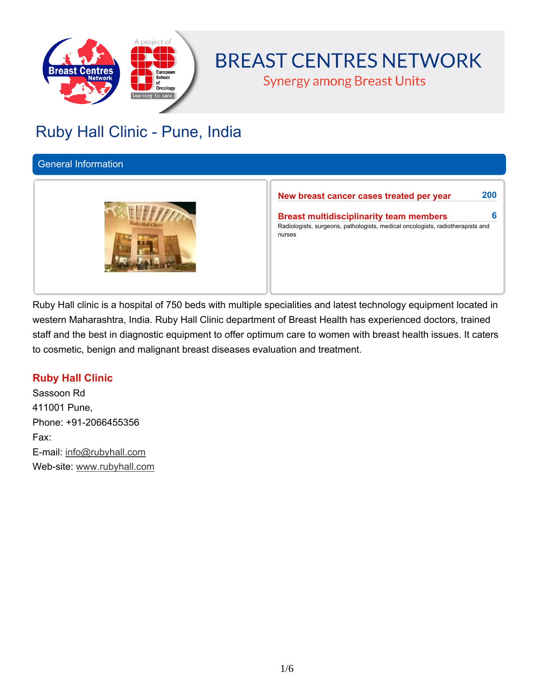

# **BREAST CENTRES NETWORK**

**Synergy among Breast Units** 

## **Ruby Hall Clinic - Pune, India**

#### **General Information**



**New breast cancer cases treated per year 200**

**Breast multidisciplinarity team members 6 Radiologists, surgeons, pathologists, medical oncologists, radiotherapists and nurses**

Ruby Hall clinic is a hospital of 750 beds with multiple specialities and latest technology equipment located in **western Maharashtra, India. Ruby Hall Clinic department of Breast Health has experienced doctors, trained** staff and the best in diagnostic equipment to offer optimum care to women with breast health issues. It caters **to cosmetic, benign and malignant breast diseases evaluation and treatment.**

## **Ruby Hall Clinic**

**Sassoon Rd 411001 Pune, Phone: +91-2066455356 Fax: E-mail: info@rubyhall.com Web-site: www.rubyhall.com**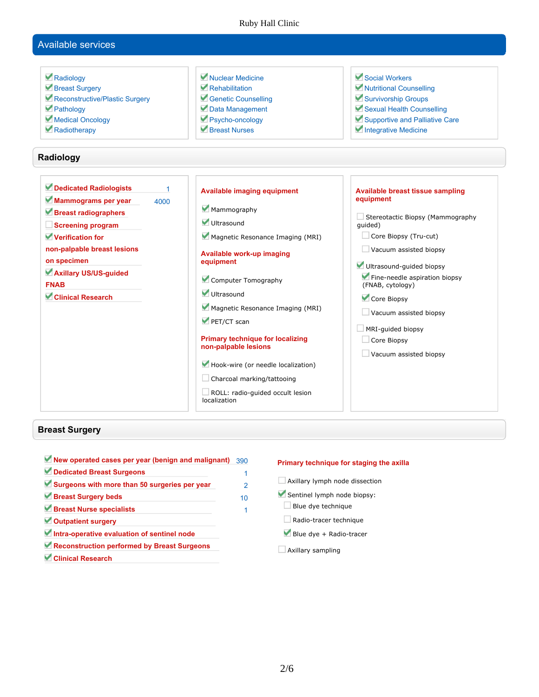#### Ruby Hall Clinic

## **Available services**

| Radiology<br>Breast Surgery<br>Reconstructive/Plastic Surgery<br>Pathology<br>Medical Oncology<br>Radiotherapy                                                                                                                                       | Nuclear Medicine<br>Rehabilitation<br>Genetic Counselling<br>Data Management<br>Psycho-oncology<br>Rreast Nurses                                                                                                                                                                                                                               | Social Workers<br>Nutritional Counselling<br>Survivorship Groups<br>Sexual Health Counselling<br>Supportive and Palliative Care<br>Integrative Medicine                                                                                                                                                                                        |
|------------------------------------------------------------------------------------------------------------------------------------------------------------------------------------------------------------------------------------------------------|------------------------------------------------------------------------------------------------------------------------------------------------------------------------------------------------------------------------------------------------------------------------------------------------------------------------------------------------|------------------------------------------------------------------------------------------------------------------------------------------------------------------------------------------------------------------------------------------------------------------------------------------------------------------------------------------------|
| Radiology                                                                                                                                                                                                                                            |                                                                                                                                                                                                                                                                                                                                                |                                                                                                                                                                                                                                                                                                                                                |
| Dedicated Radiologists<br>1<br>Mammograms per year<br>4000<br>Breast radiographers<br><b>Screening program</b><br>Verification for<br>non-palpable breast lesions<br>on specimen<br>Axillary US/US-guided<br><b>FNAB</b><br><b>Clinical Research</b> | <b>Available imaging equipment</b><br>Mammography<br>Ultrasound<br>Magnetic Resonance Imaging (MRI)<br>Available work-up imaging<br>equipment<br>Computer Tomography<br>Ultrasound<br>Magnetic Resonance Imaging (MRI)<br>PET/CT scan<br><b>Primary technique for localizing</b><br>non-palpable lesions<br>Hook-wire (or needle localization) | Available breast tissue sampling<br>equipment<br>Stereotactic Biopsy (Mammography<br>quided)<br>Core Biopsy (Tru-cut)<br>Vacuum assisted biopsy<br>Ultrasound-guided biopsy<br>Fine-needle aspiration biopsy<br>(FNAB, cytology)<br>Core Biopsy<br>$\Box$ Vacuum assisted biopsy<br>MRI-guided biopsy<br>Core Biopsy<br>Vacuum assisted biopsy |

#### **Breast Surgery**

| New operated cases per year (benign and malignant) | 390           |
|----------------------------------------------------|---------------|
| Dedicated Breast Surgeons                          |               |
| Surgeons with more than 50 surgeries per year      | $\mathcal{P}$ |
| Breast Surgery beds                                | 10            |
| Breast Nurse specialists                           |               |
| Outpatient surgery                                 |               |
| Intra-operative evaluation of sentinel node        |               |
| Reconstruction performed by Breast Surgeons        |               |
| Clinical Research                                  |               |

#### **Primary technique for staging the axilla**

- **Axillary lymph node dissection**
- **Sentinel lymph node biopsy:**
- **Blue dye technique**
- **Radio-tracer technique**
- **Blue dye + Radio-tracer**
- **Axillary sampling**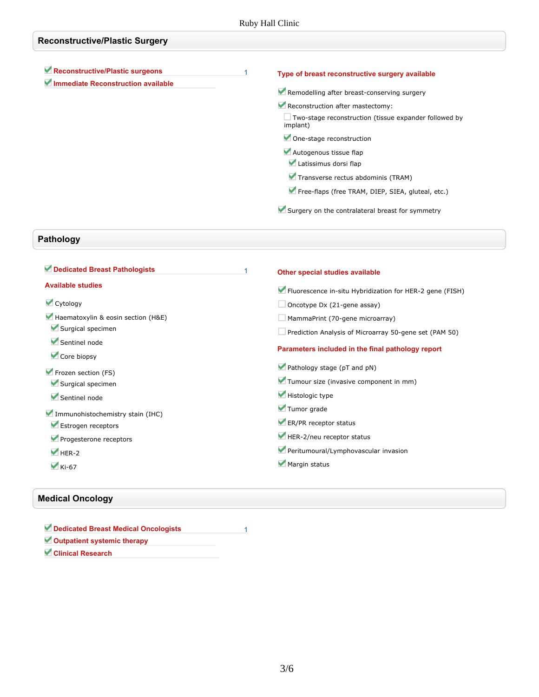| <b>Reconstructive/Plastic Surgery</b>                                 |                                                                                                  |
|-----------------------------------------------------------------------|--------------------------------------------------------------------------------------------------|
| Reconstructive/Plastic surgeons<br>Immediate Reconstruction available | Type of breast reconstructive surgery available<br>Remodelling after breast-conserving surgery   |
|                                                                       | Reconstruction after mastectomy:<br>$\Box$ Two-stage reconstruction (tissue expander followed by |
|                                                                       | implant)<br>One-stage reconstruction                                                             |
|                                                                       | Autogenous tissue flap<br>Latissimus dorsi flap                                                  |
|                                                                       | Transverse rectus abdominis (TRAM)                                                               |
|                                                                       | Free-flaps (free TRAM, DIEP, SIEA, gluteal, etc.)                                                |
|                                                                       | Surgery on the contralateral breast for symmetry                                                 |

## **Pathology**

| Dedicated Breast Pathologists      | Other special studies available                          |
|------------------------------------|----------------------------------------------------------|
| <b>Available studies</b>           | Fluorescence in-situ Hybridization for HER-2 gene (FISH) |
| Cytology                           | Oncotype Dx (21-gene assay)                              |
| Haematoxylin & eosin section (H&E) | MammaPrint (70-gene microarray)                          |
| Surgical specimen                  | Prediction Analysis of Microarray 50-gene set (PAM 50)   |
| Sentinel node<br>Core biopsy       | Parameters included in the final pathology report        |
| Frozen section (FS)                | Pathology stage (pT and pN)                              |
| Surgical specimen                  | Tumour size (invasive component in mm)                   |
| Sentinel node                      | Histologic type                                          |
| Immunohistochemistry stain (IHC)   | Tumor grade                                              |
| Estrogen receptors                 | ER/PR receptor status                                    |
| Progesterone receptors             | HER-2/neu receptor status                                |
| $\blacktriangleright$ HER-2        | Peritumoural/Lymphovascular invasion                     |
| $\blacktriangleright$ Ki-67        | Margin status                                            |

### **Medical Oncology**

| Dedicated Breast Medical Oncologists |  |
|--------------------------------------|--|
| Outpatient systemic therapy          |  |
| <b>Clinical Research</b>             |  |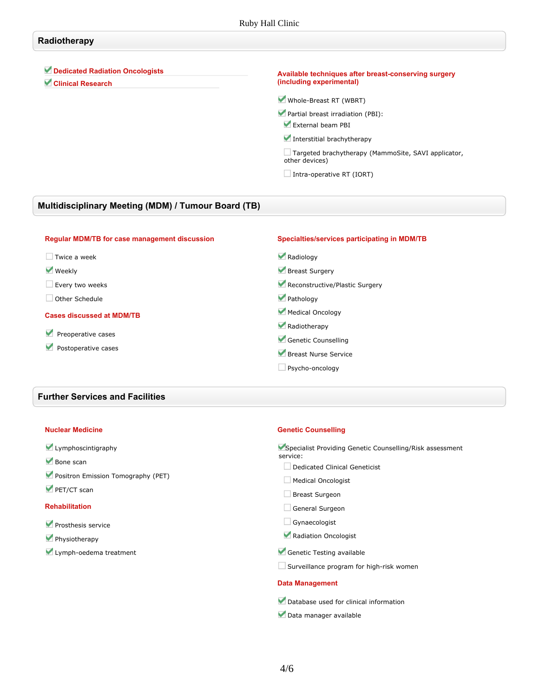#### **Radiotherapy**

**Dedicated Radiation Oncologists**

**Clinical Research**

#### **Available techniques after breast-conserving surgery (including experimental)**

**Whole-Breast RT (WBRT)**

**Partial breast irradiation (PBI): External beam PBI**

**Interstitial brachytherapy**

**Targeted brachytherapy (MammoSite, SAVI applicator, other devices)**

**Intra-operative RT (IORT)**

#### **Multidisciplinary Meeting (MDM) / Tumour Board (TB)**

| <b>Regular MDM/TB for case management discussion</b> | Specialties/services participating in MDM/TB |
|------------------------------------------------------|----------------------------------------------|
| Twice a week                                         | Radiology                                    |
| <b>Weekly</b>                                        | Breast Surgery                               |
| Every two weeks                                      | Reconstructive/Plastic Surgery               |
| Other Schedule                                       | Pathology                                    |
| <b>Cases discussed at MDM/TB</b>                     | Medical Oncology                             |
|                                                      | Radiotherapy                                 |
| Preoperative cases                                   | Genetic Counselling                          |
| Postoperative cases                                  | Breast Nurse Service                         |
|                                                      | Psycho-oncology                              |

#### **Further Services and Facilities**

#### **Nuclear Medicine**

|  | Lymphoscintigraphy |
|--|--------------------|
|--|--------------------|

- **Bone scan**
- **Positron Emission Tomography (PET)**
- **PET/CT scan**

#### **Rehabilitation**

- **Prosthesis service**
- **Physiotherapy**
- **Lymph-oedema treatment**

#### **Genetic Counselling**

| Specialist Providing Genetic Counselling/Risk assessment<br>service: |  |  |
|----------------------------------------------------------------------|--|--|
| Dedicated Clinical Geneticist                                        |  |  |
| <b>Medical Oncologist</b>                                            |  |  |
| <b>Breast Surgeon</b>                                                |  |  |
| General Surgeon                                                      |  |  |
| Gynaecologist                                                        |  |  |
| Radiation Oncologist                                                 |  |  |
| Genetic Testing available                                            |  |  |
| Surveillance program for high-risk women                             |  |  |
| <b>Data Management</b>                                               |  |  |
| Database used for clinical information                               |  |  |
| Data manager available                                               |  |  |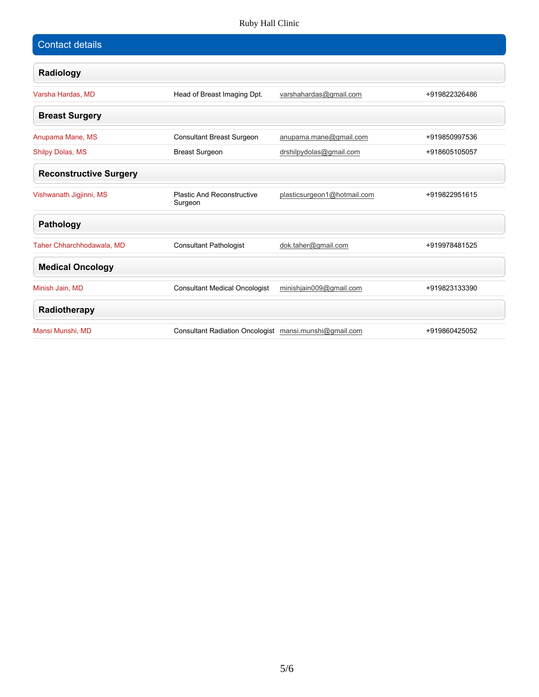### Ruby Hall Clinic

| <b>Contact details</b>        |                                                        |                             |               |
|-------------------------------|--------------------------------------------------------|-----------------------------|---------------|
| Radiology                     |                                                        |                             |               |
| Varsha Hardas, MD             | Head of Breast Imaging Dpt.                            | varshahardas@gmail.com      | +919822326486 |
| <b>Breast Surgery</b>         |                                                        |                             |               |
| Anupama Mane, MS              | <b>Consultant Breast Surgeon</b>                       | anupama.mane@gmail.com      | +919850997536 |
| Shilpy Dolas, MS              | <b>Breast Surgeon</b>                                  | drshilpydolas@gmail.com     | +918605105057 |
| <b>Reconstructive Surgery</b> |                                                        |                             |               |
| Vishwanath Jigjinni, MS       | <b>Plastic And Reconstructive</b><br>Surgeon           | plasticsurgeon1@hotmail.com | +919822951615 |
| <b>Pathology</b>              |                                                        |                             |               |
| Taher Chharchhodawala, MD     | <b>Consultant Pathologist</b>                          | dok.taher@gmail.com         | +919978481525 |
| <b>Medical Oncology</b>       |                                                        |                             |               |
| Minish Jain, MD               | <b>Consultant Medical Oncologist</b>                   | minishjain009@gmail.com     | +919823133390 |
| Radiotherapy                  |                                                        |                             |               |
| Mansi Munshi, MD              | Consultant Radiation Oncologist mansi.munshi@gmail.com |                             | +919860425052 |